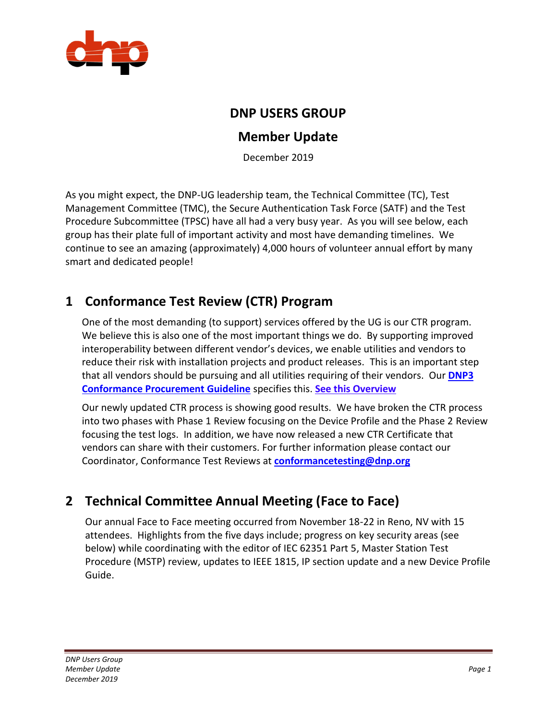

#### **DNP USERS GROUP**

#### **Member Update**

December 2019

As you might expect, the DNP-UG leadership team, the Technical Committee (TC), Test Management Committee (TMC), the Secure Authentication Task Force (SATF) and the Test Procedure Subcommittee (TPSC) have all had a very busy year. As you will see below, each group has their plate full of important activity and most have demanding timelines. We continue to see an amazing (approximately) 4,000 hours of volunteer annual effort by many smart and dedicated people!

## **1 Conformance Test Review (CTR) Program**

One of the most demanding (to support) services offered by the UG is our CTR program. We believe this is also one of the most important things we do. By supporting improved interoperability between different vendor's devices, we enable utilities and vendors to reduce their risk with installation projects and product releases. This is an important step that all vendors should be pursuing and all utilities requiring of their vendors. Our **[DNP3](https://www.dnp.org/LinkClick.aspx?fileticket=CpAPCPrA0gw%3d&portalid=0)  [Conformance Procurement Guideline](https://www.dnp.org/LinkClick.aspx?fileticket=CpAPCPrA0gw%3d&portalid=0)** specifies this. **[See this Overview](https://u9524655.ct.sendgrid.net/wf/click?upn=o03gkjcvgrlgTRJj-2FBM5fVR-2BeN2X8nMXC4qTigfLc9X0YAIHpT2RKoGiW8U61yZrrYrbWtw-2FTwfyQ97Q7vLAQORT48xg7fEBlJ7VnFhZU0NBvahOQRUaz6GRgFcyvgGH-2FJ8ODUUDPL0KFuM7csDnag-3D-3D_S4DX7JOopSgJstxvfelY-2FyHHZErG-2FleX1nddJ44qEVCyXTvL3PUxAJruXiVZl7O7EE4LISkqbZxi7NJXFhj-2Bc-2FuR-2FzfswEl7PgrbMYonTVH0k4I-2BhPTZe1CoLuwemMQPsv9xaxSU0BlHnDQrlQLNg0mo31pervq-2FAZBAPoPyFwIWzsHilW-2BoPAGGP-2BWH2ZPqhOUceJJ4J4TrSjnjioQbzrCkK859tOytR9IHd-2BE8GJz9ksVjH4VLiy-2FfZDA8Sp9c)**

Our newly updated CTR process is showing good results. We have broken the CTR process into two phases with Phase 1 Review focusing on the Device Profile and the Phase 2 Review focusing the test logs. In addition, we have now released a new CTR Certificate that vendors can share with their customers. For further information please contact our Coordinator, Conformance Test Reviews at **[conformancetesting@dnp.org](mailto:conformancetesting@dnp.org)**

## **2 Technical Committee Annual Meeting (Face to Face)**

Our annual Face to Face meeting occurred from November 18-22 in Reno, NV with 15 attendees. Highlights from the five days include; progress on key security areas (see below) while coordinating with the editor of IEC 62351 Part 5, Master Station Test Procedure (MSTP) review, updates to IEEE 1815, IP section update and a new Device Profile Guide.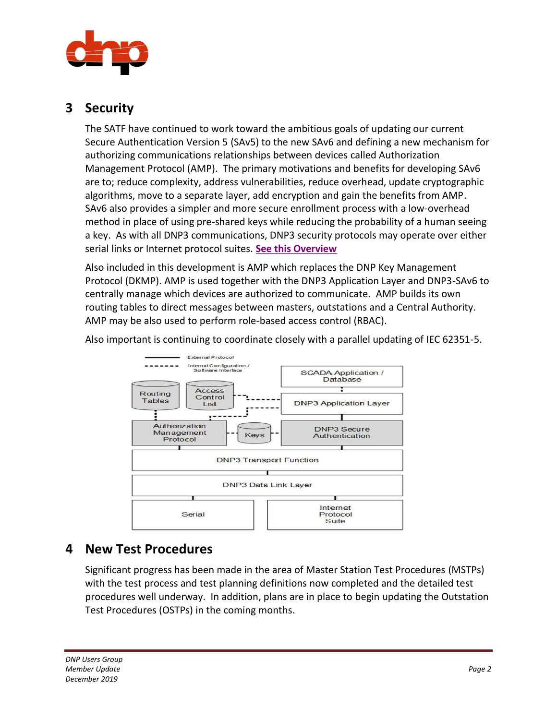

#### **3 Security**

The SATF have continued to work toward the ambitious goals of updating our current Secure Authentication Version 5 (SAv5) to the new SAv6 and defining a new mechanism for authorizing communications relationships between devices called Authorization Management Protocol (AMP). The primary motivations and benefits for developing SAv6 are to; reduce complexity, address vulnerabilities, reduce overhead, update cryptographic algorithms, move to a separate layer, add encryption and gain the benefits from AMP. SAv6 also provides a simpler and more secure enrollment process with a low-overhead method in place of using pre-shared keys while reducing the probability of a human seeing a key. As with all DNP3 communications, DNP3 security protocols may operate over either serial links or Internet protocol suites. **[See this Overview](https://u9524655.ct.sendgrid.net/wf/click?upn=o03gkjcvgrlgTRJj-2FBM5fVR-2BeN2X8nMXC4qTigfLc9X0YAIHpT2RKoGiW8U61yZrW2Wzgdp-2Fpdp7WK6Xf-2BZl9HB9WWaZUySTDDnCyzVFWh8-3D_S4DX7JOopSgJstxvfelY-2FyHHZErG-2FleX1nddJ44qEVCyXTvL3PUxAJruXiVZl7O79FKJGlundR-2Fw3q0zHmx3NfwIcleVeA0DtDoYgW8xTppEhgYtMPzY7PCwNIkjUZkPJC0Sz1PqV-2FYmzEBqlI5q5fyv5XpwTAk1DoTK8zB42TkIrQykPOrIIaIOXUxge3VuaD1jeUsOeZjoLvAaAVouF0c3LNB46UNKFvNiwPjcW-2BJPdaBGits-2B89I-2B1TvYdkLu)**

Also included in this development is AMP which replaces the DNP Key Management Protocol (DKMP). AMP is used together with the DNP3 Application Layer and DNP3-SAv6 to centrally manage which devices are authorized to communicate. AMP builds its own routing tables to direct messages between masters, outstations and a Central Authority. AMP may be also used to perform role-based access control (RBAC).

Also important is continuing to coordinate closely with a parallel updating of IEC 62351-5.



#### **4 New Test Procedures**

Significant progress has been made in the area of Master Station Test Procedures (MSTPs) with the test process and test planning definitions now completed and the detailed test procedures well underway. In addition, plans are in place to begin updating the Outstation Test Procedures (OSTPs) in the coming months.